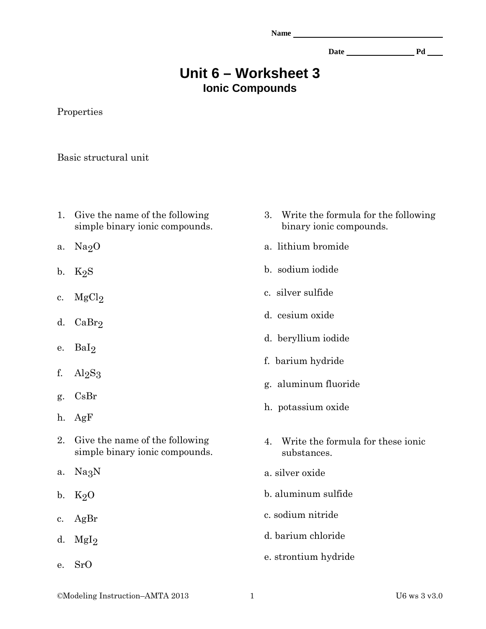| ٠ |  |
|---|--|
|   |  |

Date Pd Pd Pd Pd Pd Public Pd Pd Public Pd Pd Public Pd Pd Public Public Pd Pd Public Public Public Pd Public Public Pd Public Public Public Pd Public Public Public Public Public Public Public Public Public Public Public P

## **Unit 6 – Worksheet 3 Ionic Compounds**

Properties

Basic structural unit

- 1. Give the name of the following simple binary ionic compounds.
- a.  $Na<sub>2</sub>O$
- b.  $K_2S$
- c.  $MgCl<sub>2</sub>$
- d. CaBr2
- e. BaI2
- f.  $Al_2S_3$
- g. CsBr
- h. AgF
- 2. Give the name of the following simple binary ionic compounds.
- a. Na3N
- b.  $K_2O$
- c. AgBr
- d.  $MgI<sub>2</sub>$
- e. SrO
- 3. Write the formula for the following binary ionic compounds.
- a. lithium bromide
- b. sodium iodide
- c. silver sulfide
- d. cesium oxide
- d. beryllium iodide
- f. barium hydride
- g. aluminum fluoride
- h. potassium oxide
- 4. Write the formula for these ionic substances.
- a. silver oxide
- b. aluminum sulfide
- c. sodium nitride
- d. barium chloride
- e. strontium hydride